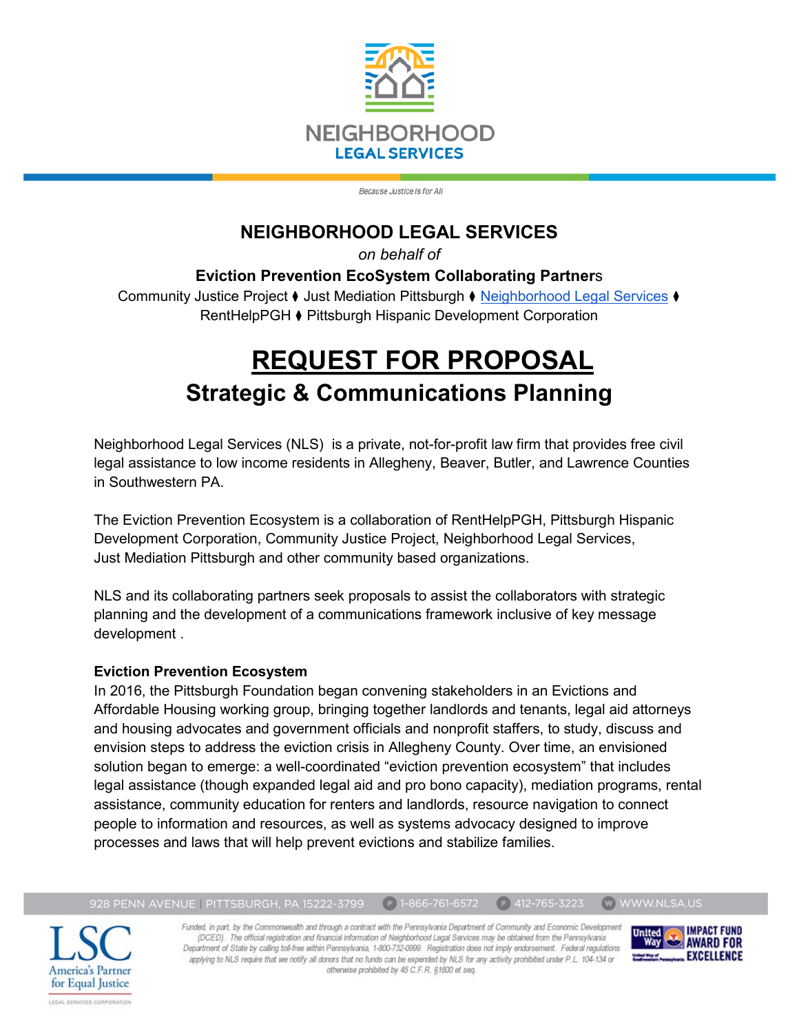

Because Justice is for All

# **NEIGHBORHOOD LEGAL SERVICES**

*on behalf of* 

# **Eviction Prevention EcoSystem Collaborating Partner**s

Community Justice Project ⧫ Just Mediation Pittsburgh ⧫ [Neighborhood Legal Services](https://www.nlsa.us/) ⧫ RentHelpPGH ⧫ Pittsburgh Hispanic Development Corporation

# **REQUEST FOR PROPOSAL Strategic & Communications Planning**

Neighborhood Legal Services (NLS) is a private, not-for-profit law firm that provides free civil legal assistance to low income residents in Allegheny, Beaver, Butler, and Lawrence Counties in Southwestern PA.

The Eviction Prevention Ecosystem is a collaboration of RentHelpPGH, Pittsburgh Hispanic Development Corporation, Community Justice Project, Neighborhood Legal Services, Just Mediation Pittsburgh and other community based organizations.

NLS and its collaborating partners seek proposals to assist the collaborators with strategic planning and the development of a communications framework inclusive of key message development .

# **Eviction Prevention Ecosystem**

928 PENN AVENUE | PITTSBURGH, PA 15222-3799

In 2016, the Pittsburgh Foundation began convening stakeholders in an Evictions and Affordable Housing working group, bringing together landlords and tenants, legal aid attorneys and housing advocates and government officials and nonprofit staffers, to study, discuss and envision steps to address the eviction crisis in Allegheny County. Over time, an envisioned solution began to emerge: a well-coordinated "eviction prevention ecosystem" that includes legal assistance (though expanded legal aid and pro bono capacity), mediation programs, rental assistance, community education for renters and landlords, resource navigation to connect people to information and resources, as well as systems advocacy designed to improve processes and laws that will help prevent evictions and stabilize families.

America's Partner for Equal Justice

LEGAL SERVICES CORPORATION

Funded, in part, by the Commonwealth and through a contract with the Pennsylvania Department of Community and Economic Development (DCED). The official registration and financial information of Neighborhood Legal Services may be obtained from the Pennsylvania Department of State by calling toll-free within Pennsylvania, 1-800-732-0999. Registration does not imply endorsement. Federal regulations applying to NLS require that we notify all donors that no funds can be expended by NLS for any activity prohibited under P.L. 104-134 or otherwise prohibited by 45 C.F.R. §1600 et seq.

 $P$  1-866-761-6572

 $F$  412-765-3223



w WWW.NLSA.US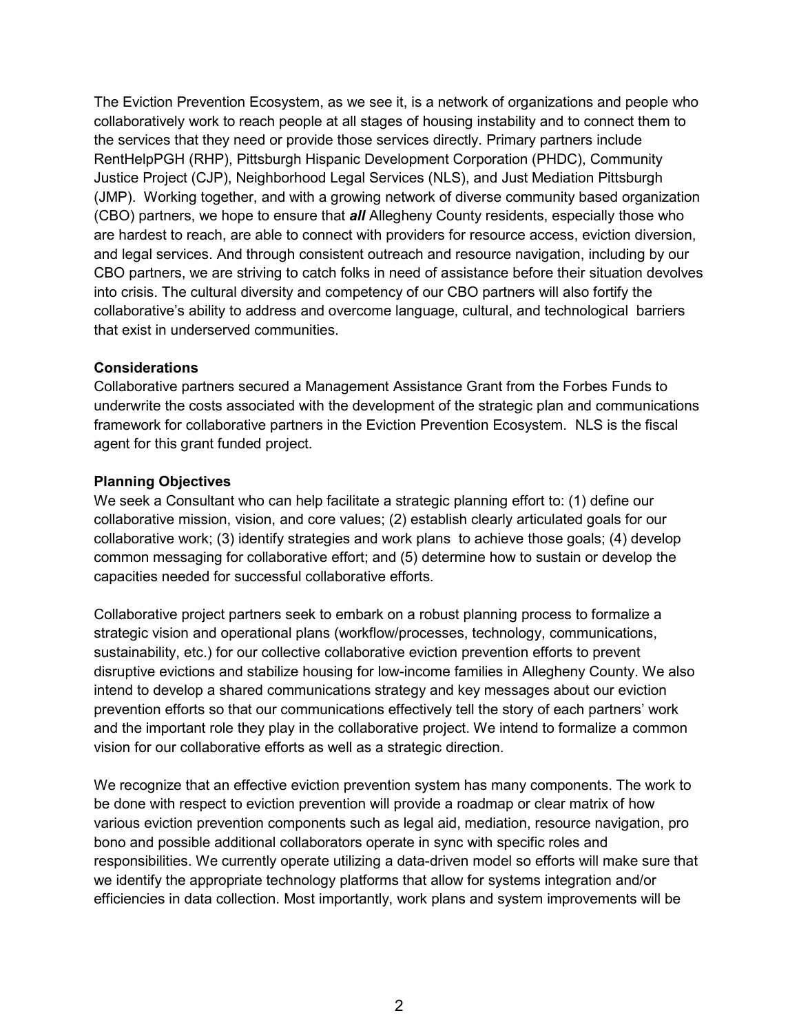The Eviction Prevention Ecosystem, as we see it, is a network of organizations and people who collaboratively work to reach people at all stages of housing instability and to connect them to the services that they need or provide those services directly. Primary partners include RentHelpPGH (RHP), Pittsburgh Hispanic Development Corporation (PHDC), Community Justice Project (CJP), Neighborhood Legal Services (NLS), and Just Mediation Pittsburgh (JMP). Working together, and with a growing network of diverse community based organization (CBO) partners, we hope to ensure that *all* Allegheny County residents, especially those who are hardest to reach, are able to connect with providers for resource access, eviction diversion, and legal services. And through consistent outreach and resource navigation, including by our CBO partners, we are striving to catch folks in need of assistance before their situation devolves into crisis. The cultural diversity and competency of our CBO partners will also fortify the collaborative's ability to address and overcome language, cultural, and technological barriers that exist in underserved communities.

### **Considerations**

Collaborative partners secured a Management Assistance Grant from the Forbes Funds to underwrite the costs associated with the development of the strategic plan and communications framework for collaborative partners in the Eviction Prevention Ecosystem.NLS is the fiscal agent for this grant funded project.

## **Planning Objectives**

We seek a Consultant who can help facilitate a strategic planning effort to: (1) define our collaborative mission, vision, and core values; (2) establish clearly articulated goals for our collaborative work; (3) identify strategies and work plans to achieve those goals; (4) develop common messaging for collaborative effort; and (5) determine how to sustain or develop the capacities needed for successful collaborative efforts.

Collaborative project partners seek to embark on a robust planning process to formalize a strategic vision and operational plans (workflow/processes, technology, communications, sustainability, etc.) for our collective collaborative eviction prevention efforts to prevent disruptive evictions and stabilize housing for low-income families in Allegheny County. We also intend to develop a shared communications strategy and key messages about our eviction prevention efforts so that our communications effectively tell the story of each partners' work and the important role they play in the collaborative project. We intend to formalize a common vision for our collaborative efforts as well as a strategic direction.

We recognize that an effective eviction prevention system has many components. The work to be done with respect to eviction prevention will provide a roadmap or clear matrix of how various eviction prevention components such as legal aid, mediation, resource navigation, pro bono and possible additional collaborators operate in sync with specific roles and responsibilities. We currently operate utilizing a data-driven model so efforts will make sure that we identify the appropriate technology platforms that allow for systems integration and/or efficiencies in data collection. Most importantly, work plans and system improvements will be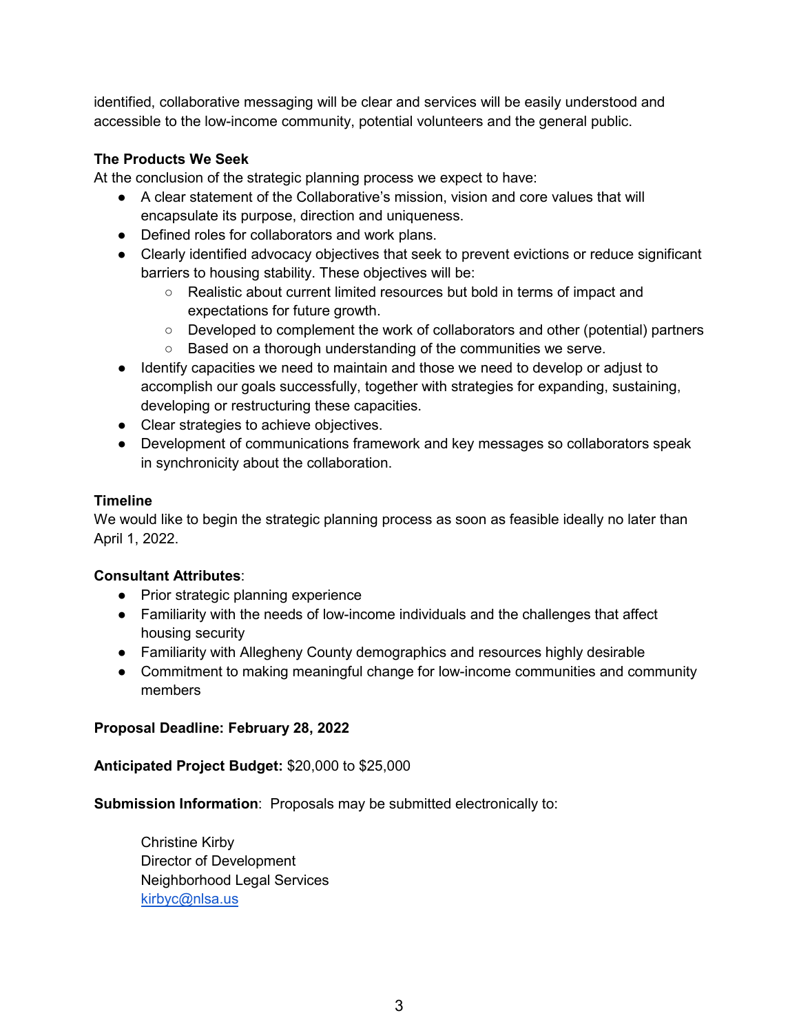identified, collaborative messaging will be clear and services will be easily understood and accessible to the low-income community, potential volunteers and the general public.

# **The Products We Seek**

At the conclusion of the strategic planning process we expect to have:

- A clear statement of the Collaborative's mission, vision and core values that will encapsulate its purpose, direction and uniqueness.
- Defined roles for collaborators and work plans.
- Clearly identified advocacy objectives that seek to prevent evictions or reduce significant barriers to housing stability. These objectives will be:
	- Realistic about current limited resources but bold in terms of impact and expectations for future growth.
	- Developed to complement the work of collaborators and other (potential) partners
	- Based on a thorough understanding of the communities we serve.
- Identify capacities we need to maintain and those we need to develop or adjust to accomplish our goals successfully, together with strategies for expanding, sustaining, developing or restructuring these capacities.
- Clear strategies to achieve objectives.
- Development of communications framework and key messages so collaborators speak in synchronicity about the collaboration.

### **Timeline**

We would like to begin the strategic planning process as soon as feasible ideally no later than April 1, 2022.

### **Consultant Attributes**:

- Prior strategic planning experience
- Familiarity with the needs of low-income individuals and the challenges that affect housing security
- Familiarity with Allegheny County demographics and resources highly desirable
- Commitment to making meaningful change for low-income communities and community members

### **Proposal Deadline: February 28, 2022**

### **Anticipated Project Budget:** \$20,000 to \$25,000

**Submission Information:** Proposals may be submitted electronically to:

Christine Kirby Director of Development Neighborhood Legal Services [kirbyc@nlsa.us](mailto:kirbyc@nlsa.us)